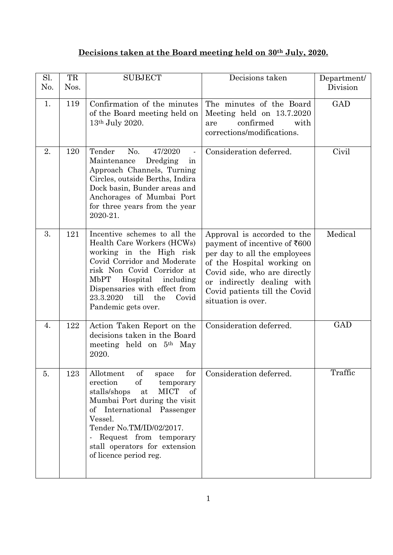## **Decisions taken at the Board meeting held on 30th July, 2020.**

| Sl.<br>N <sub>0</sub> . | TR<br>Nos. | <b>SUBJECT</b>                                                                                                                                                                                                                                                                                      | Decisions taken                                                                                                                                                                                                                                | Department/<br>Division |
|-------------------------|------------|-----------------------------------------------------------------------------------------------------------------------------------------------------------------------------------------------------------------------------------------------------------------------------------------------------|------------------------------------------------------------------------------------------------------------------------------------------------------------------------------------------------------------------------------------------------|-------------------------|
| 1.                      | 119        | Confirmation of the minutes<br>of the Board meeting held on<br>13 <sup>th</sup> July 2020.                                                                                                                                                                                                          | The minutes of the Board<br>Meeting held on 13.7.2020<br>confirmed<br>with<br>are<br>corrections/modifications.                                                                                                                                | <b>GAD</b>              |
| 2.                      | 120        | Tender<br>No.<br>47/2020<br>Maintenance<br>Dredging<br>in<br>Approach Channels, Turning<br>Circles, outside Berths, Indira<br>Dock basin, Bunder areas and<br>Anchorages of Mumbai Port<br>for three years from the year<br>2020-21.                                                                | Consideration deferred.                                                                                                                                                                                                                        | Civil                   |
| 3.                      | 121        | Incentive schemes to all the<br>Health Care Workers (HCWs)<br>working in the High risk<br>Covid Corridor and Moderate<br>risk Non Covid Corridor at<br>MbPT<br>Hospital including<br>Dispensaries with effect from<br>till<br>the<br>23.3.2020<br>Covid<br>Pandemic gets over.                      | Approval is accorded to the<br>payment of incentive of ₹600<br>per day to all the employees<br>of the Hospital working on<br>Covid side, who are directly<br>or indirectly dealing with<br>Covid patients till the Covid<br>situation is over. | Medical                 |
| 4.                      | 122        | Action Taken Report on the<br>decisions taken in the Board<br>meeting held on 5 <sup>th</sup> May<br>2020.                                                                                                                                                                                          | Consideration deferred.                                                                                                                                                                                                                        | GAD                     |
| 5.                      | 123        | of<br>Allotment<br>for<br>space<br>erection<br>of<br>temporary<br><b>MICT</b><br>stalls/shops<br>of<br>at<br>Mumbai Port during the visit<br>of International Passenger<br>Vessel.<br>Tender No.TM/ID/02/2017.<br>Request from temporary<br>stall operators for extension<br>of licence period reg. | Consideration deferred.                                                                                                                                                                                                                        | Traffic                 |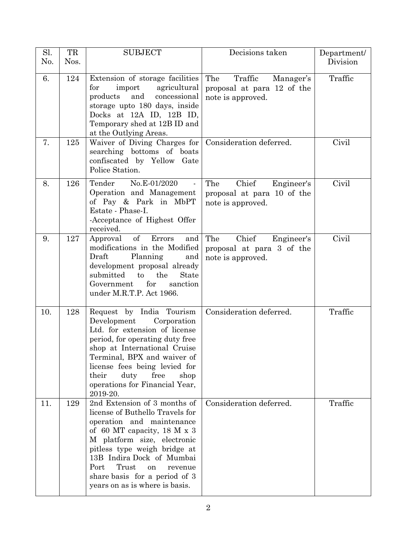| Sl.<br>No. | TR<br>Nos. | <b>SUBJECT</b>                                                                                                                                                                                                                                                                                                                      | Decisions taken                                                                | Department/<br>Division |
|------------|------------|-------------------------------------------------------------------------------------------------------------------------------------------------------------------------------------------------------------------------------------------------------------------------------------------------------------------------------------|--------------------------------------------------------------------------------|-------------------------|
| 6.         | 124        | Extension of storage facilities<br>import<br>agricultural<br>for<br>products and<br>concessional<br>storage upto 180 days, inside<br>Docks at 12A ID, 12B ID,<br>Temporary shed at 12B ID and<br>at the Outlying Areas.                                                                                                             | The<br>Traffic<br>Manager's<br>proposal at para 12 of the<br>note is approved. | Traffic                 |
| 7.         | 125        | Waiver of Diving Charges for<br>searching bottoms of boats<br>confiscated by Yellow Gate<br>Police Station.                                                                                                                                                                                                                         | Consideration deferred.                                                        | Civil                   |
| 8.         | 126        | Tender<br>No.E-01/2020<br>Operation and Management<br>of Pay & Park in MbPT<br>Estate - Phase-I.<br>-Acceptance of Highest Offer<br>received.                                                                                                                                                                                       | Chief<br>The<br>Engineer's<br>proposal at para 10 of the<br>note is approved.  | Civil                   |
| 9.         | 127        | Approval of Errors<br>and<br>modifications in the Modified<br>Planning<br>Draft<br>and<br>development proposal already<br>the<br>submitted<br>to<br>State<br>for<br>sanction<br>Government<br>under M.R.T.P. Act 1966.                                                                                                              | Chief<br>The<br>Engineer's<br>proposal at para 3 of the<br>note is approved.   | Civil                   |
| 10.        | 128        | Request by India Tourism<br>Development<br>Corporation<br>Ltd. for extension of license<br>period, for operating duty free<br>shop at International Cruise<br>Terminal, BPX and waiver of<br>license fees being levied for<br>duty<br>free<br>their<br>shop<br>operations for Financial Year,<br>2019-20.                           | Consideration deferred.                                                        | Traffic                 |
| 11.        | 129        | 2nd Extension of 3 months of<br>license of Buthello Travels for<br>operation and maintenance<br>of 60 MT capacity, 18 M $\times$ 3<br>M platform size, electronic<br>pitless type weigh bridge at<br>13B Indira Dock of Mumbai<br>Port<br>Trust<br>on<br>revenue<br>share basis for a period of 3<br>years on as is where is basis. | Consideration deferred.                                                        | Traffic                 |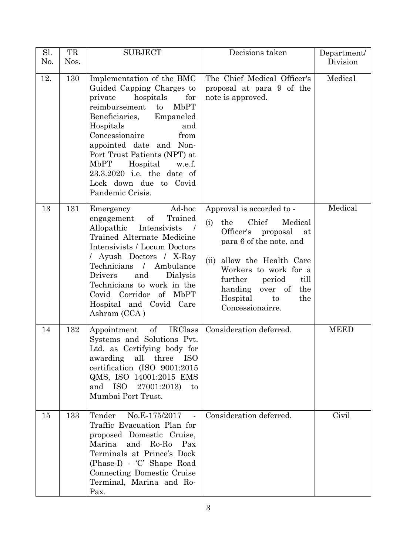| Sl.<br>No. | TR<br>Nos. | <b>SUBJECT</b>                                                                                                                                                                                                                                                                                                                                                   | Decisions taken                                                                                                                                                                                                                                                               | Department/<br>Division |
|------------|------------|------------------------------------------------------------------------------------------------------------------------------------------------------------------------------------------------------------------------------------------------------------------------------------------------------------------------------------------------------------------|-------------------------------------------------------------------------------------------------------------------------------------------------------------------------------------------------------------------------------------------------------------------------------|-------------------------|
| 12.        | 130        | Implementation of the BMC<br>Guided Capping Charges to<br>for<br>private<br>hospitals<br>reimbursement<br>MbPT<br>to<br>Beneficiaries, Empaneled<br>Hospitals<br>and<br>Concessionaire<br>from<br>appointed date and Non-<br>Port Trust Patients (NPT) at<br>MbPT Hospital<br>w.e.f.<br>23.3.2020 i.e. the date of<br>Lock down due to Covid<br>Pandemic Crisis. | The Chief Medical Officer's<br>proposal at para 9 of the<br>note is approved.                                                                                                                                                                                                 | Medical                 |
| 13         | 131        | Ad-hoc<br>Emergency<br>of<br>Trained<br>engagement<br>Allopathic<br>Intensivists<br>Trained Alternate Medicine<br>Intensivists / Locum Doctors<br>/ Ayush Doctors / X-Ray<br>Technicians / Ambulance<br>Drivers<br>and<br>Dialysis<br>Technicians to work in the<br>Covid Corridor of MbPT<br>Hospital and Covid Care<br>Ashram (CCA)                            | Approval is accorded to -<br>Chief<br>the<br>Medical<br>(i)<br>Officer's proposal<br>at<br>para 6 of the note, and<br>allow the Health Care<br>(ii)<br>Workers to work for a<br>further period<br>till<br>handing over of<br>the<br>Hospital<br>the<br>to<br>Concessionairre. | Medical                 |
| 14         | 132        | Appointment of IRClass<br>Systems and Solutions Pvt.<br>Ltd. as Certifying body for<br>awarding all three<br><b>ISO</b><br>certification (ISO 9001:2015<br>QMS, ISO 14001:2015 EMS<br>and ISO 27001:2013)<br>$\mathop{\mathrm{to}}$<br>Mumbai Port Trust.                                                                                                        | Consideration deferred.                                                                                                                                                                                                                                                       | <b>MEED</b>             |
| 15         | 133        | Tender<br>No.E-175/2017<br>$\sim 10$<br>Traffic Evacuation Plan for<br>proposed Domestic Cruise,<br>Marina<br>and Ro-Ro<br>Pax<br>Terminals at Prince's Dock<br>(Phase-I) - 'C' Shape Road<br>Connecting Domestic Cruise<br>Terminal, Marina and Ro-<br>Pax.                                                                                                     | Consideration deferred.                                                                                                                                                                                                                                                       | Civil                   |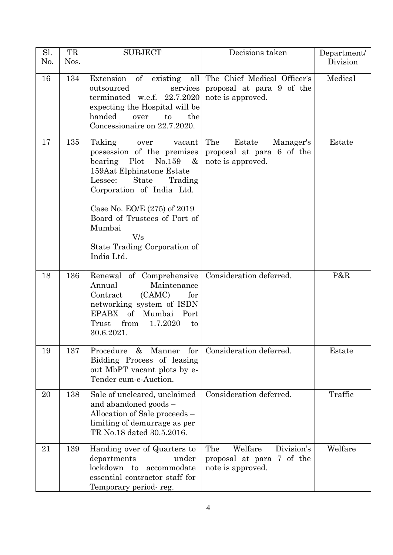| Sl.<br>No. | TR<br>Nos. | <b>SUBJECT</b>                                                                                                                                                                                                                                                                                                            | Decisions taken                                                                | Department/<br>Division |
|------------|------------|---------------------------------------------------------------------------------------------------------------------------------------------------------------------------------------------------------------------------------------------------------------------------------------------------------------------------|--------------------------------------------------------------------------------|-------------------------|
| 16         | 134        | Extension of existing all<br>outsourced<br>services<br>terminated w.e.f. 22.7.2020<br>expecting the Hospital will be<br>handed<br>to<br>the<br>over<br>Concessionaire on 22.7.2020.                                                                                                                                       | The Chief Medical Officer's<br>proposal at para 9 of the<br>note is approved.  | Medical                 |
| 17         | 135        | Taking<br>over<br>vacant<br>possession of the premises<br>bearing<br>Plot<br>No.159<br>$\&$<br>159Aat Elphinstone Estate<br><b>State</b><br>Trading<br>Lessee:<br>Corporation of India Ltd.<br>Case No. EO/E (275) of 2019<br>Board of Trustees of Port of<br>Mumbai<br>V/s<br>State Trading Corporation of<br>India Ltd. | The<br>Estate<br>Manager's<br>proposal at para 6 of the<br>note is approved.   | Estate                  |
| 18         | 136        | Renewal of Comprehensive<br>Annual<br>Maintenance<br>(CAMC)<br>Contract<br>for<br>networking system of ISDN<br>EPABX<br>$\sigma f$<br>Mumbai Port<br>1.7.2020<br>Trust<br>from<br>to<br>30.6.2021.                                                                                                                        | Consideration deferred.                                                        | P&R                     |
| 19         | 137        | Procedure<br>&<br>Manner<br>for<br>Bidding Process of leasing<br>out MbPT vacant plots by e-<br>Tender cum-e-Auction.                                                                                                                                                                                                     | Consideration deferred.                                                        | Estate                  |
| 20         | 138        | Sale of uncleared, unclaimed<br>and abandoned goods -<br>Allocation of Sale proceeds –<br>limiting of demurrage as per<br>TR No.18 dated 30.5.2016.                                                                                                                                                                       | Consideration deferred.                                                        | Traffic                 |
| 21         | 139        | Handing over of Quarters to<br>departments<br>under<br>lockdown to<br>accommodate<br>essential contractor staff for<br>Temporary period-reg.                                                                                                                                                                              | Division's<br>Welfare<br>The<br>proposal at para 7 of the<br>note is approved. | Welfare                 |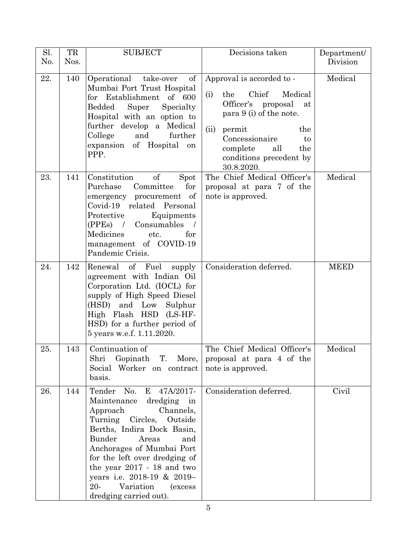| Sl.<br>No. | TR<br>Nos. | <b>SUBJECT</b>                                                                                                                                                                                                                                                                                                                                                         | Decisions taken                                                                                                                                                                                                                        | Department/<br>Division |
|------------|------------|------------------------------------------------------------------------------------------------------------------------------------------------------------------------------------------------------------------------------------------------------------------------------------------------------------------------------------------------------------------------|----------------------------------------------------------------------------------------------------------------------------------------------------------------------------------------------------------------------------------------|-------------------------|
| 22.        | 140        | Operational<br>take-over<br>of<br>Mumbai Port Trust Hospital<br>for Establishment of 600<br>Bedded<br>Super<br>Specialty<br>Hospital with an option to<br>further develop a Medical<br>College<br>and<br>further<br>expansion of Hospital on<br>PPP.                                                                                                                   | Approval is accorded to -<br>Chief<br>Medical<br>(i)<br>the<br>Officer's proposal<br>at<br>para 9 (i) of the note.<br>(ii)<br>permit<br>the<br>Concessionaire<br>to<br>complete<br>all<br>the<br>conditions precedent by<br>30.8.2020. | Medical                 |
| 23.        | 141        | $\sigma f$<br>Constitution<br>Spot<br>Purchase<br>Committee<br>for<br>emergency procurement of<br>Covid-19 related Personal<br>Protective<br>Equipments<br>(PPEs) / Consumables<br>Medicines<br>etc.<br>for<br>management of COVID-19<br>Pandemic Crisis.                                                                                                              | The Chief Medical Officer's<br>proposal at para 7 of the<br>note is approved.                                                                                                                                                          | Medical                 |
| 24.        | 142        | Renewal of Fuel<br>supply<br>agreement with Indian Oil<br>Corporation Ltd. (IOCL) for<br>supply of High Speed Diesel<br>(HSD) and Low Sulphur<br>High Flash HSD (LS-HF-<br>HSD) for a further period of<br>5 years w.e.f. 1.11.2020.                                                                                                                                   | Consideration deferred.                                                                                                                                                                                                                | <b>MEED</b>             |
| 25.        | 143        | Continuation of<br>Gopinath T. More,<br>Shri<br>Social Worker on contract<br>basis.                                                                                                                                                                                                                                                                                    | The Chief Medical Officer's<br>proposal at para 4 of the<br>note is approved.                                                                                                                                                          | Medical                 |
| 26.        | 144        | Tender No.<br>E<br>47A/2017-<br>dredging in<br>Maintenance<br>Approach<br>Channels,<br>Turning Circles, Outside<br>Berths, Indira Dock Basin,<br>Bunder<br>Areas<br>and<br>Anchorages of Mumbai Port<br>for the left over dredging of<br>the year 2017 - 18 and two<br>years i.e. 2018-19 & 2019-<br>$20 -$<br>Variation<br><i>(excess</i> )<br>dredging carried out). | Consideration deferred.                                                                                                                                                                                                                | Civil                   |